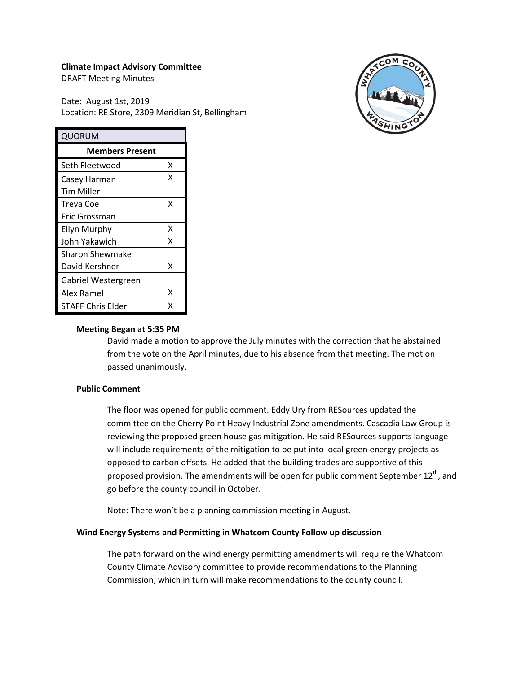### **Climate Impact Advisory Committee**

DRAFT Meeting Minutes

Date: August 1st, 2019 Location: RE Store, 2309 Meridian St, Bellingham



| QUORUM                   |   |
|--------------------------|---|
| <b>Members Present</b>   |   |
| Seth Fleetwood           | x |
| Casey Harman             | x |
| Tim Miller               |   |
| Treva Coe                | x |
| Eric Grossman            |   |
| <b>Ellyn Murphy</b>      | x |
| John Yakawich            | x |
| <b>Sharon Shewmake</b>   |   |
| David Kershner           | x |
| Gabriel Westergreen      |   |
| Alex Ramel               | x |
| <b>STAFF Chris Elder</b> | x |

### **Meeting Began at 5:35 PM**

David made a motion to approve the July minutes with the correction that he abstained from the vote on the April minutes, due to his absence from that meeting. The motion passed unanimously.

### **Public Comment**

The floor was opened for public comment. Eddy Ury from RESources updated the committee on the Cherry Point Heavy Industrial Zone amendments. Cascadia Law Group is reviewing the proposed green house gas mitigation. He said RESources supports language will include requirements of the mitigation to be put into local green energy projects as opposed to carbon offsets. He added that the building trades are supportive of this proposed provision. The amendments will be open for public comment September  $12<sup>th</sup>$ , and go before the county council in October.

Note: There won't be a planning commission meeting in August.

# **Wind Energy Systems and Permitting in Whatcom County Follow up discussion**

The path forward on the wind energy permitting amendments will require the Whatcom County Climate Advisory committee to provide recommendations to the Planning Commission, which in turn will make recommendations to the county council.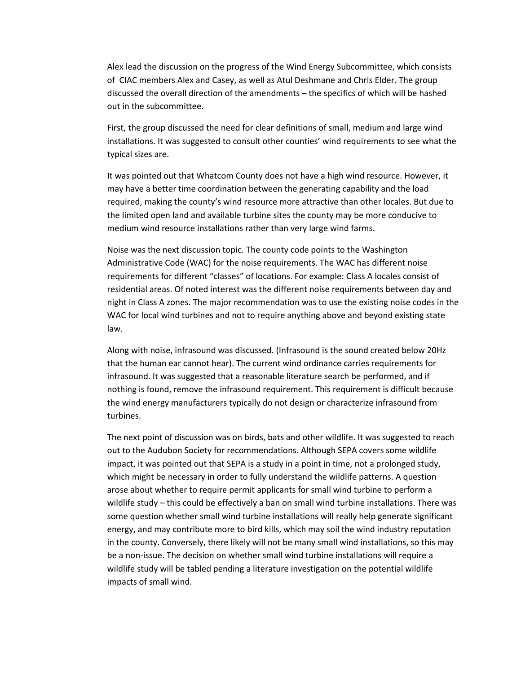Alex lead the discussion on the progress of the Wind Energy Subcommittee, which consists of CIAC members Alex and Casey, as well as Atul Deshmane and Chris Elder. The group discussed the overall direction of the amendments – the specifics of which will be hashed out in the subcommittee.

First, the group discussed the need for clear definitions of small, medium and large wind installations. It was suggested to consult other counties' wind requirements to see what the typical sizes are.

It was pointed out that Whatcom County does not have a high wind resource. However, it may have a better time coordination between the generating capability and the load required, making the county's wind resource more attractive than other locales. But due to the limited open land and available turbine sites the county may be more conducive to medium wind resource installations rather than very large wind farms.

Noise was the next discussion topic. The county code points to the Washington Administrative Code (WAC) for the noise requirements. The WAC has different noise requirements for different "classes" of locations. For example: Class A locales consist of residential areas. Of noted interest was the different noise requirements between day and night in Class A zones. The major recommendation was to use the existing noise codes in the WAC for local wind turbines and not to require anything above and beyond existing state law.

Along with noise, infrasound was discussed. (Infrasound is the sound created below 20Hz that the human ear cannot hear). The current wind ordinance carries requirements for infrasound. It was suggested that a reasonable literature search be performed, and if nothing is found, remove the infrasound requirement. This requirement is difficult because the wind energy manufacturers typically do not design or characterize infrasound from turbines.

The next point of discussion was on birds, bats and other wildlife. It was suggested to reach out to the Audubon Society for recommendations. Although SEPA covers some wildlife impact, it was pointed out that SEPA is a study in a point in time, not a prolonged study, which might be necessary in order to fully understand the wildlife patterns. A question arose about whether to require permit applicants for small wind turbine to perform a wildlife study – this could be effectively a ban on small wind turbine installations. There was some question whether small wind turbine installations will really help generate significant energy, and may contribute more to bird kills, which may soil the wind industry reputation in the county. Conversely, there likely will not be many small wind installations, so this may be a non-issue. The decision on whether small wind turbine installations will require a wildlife study will be tabled pending a literature investigation on the potential wildlife impacts of small wind.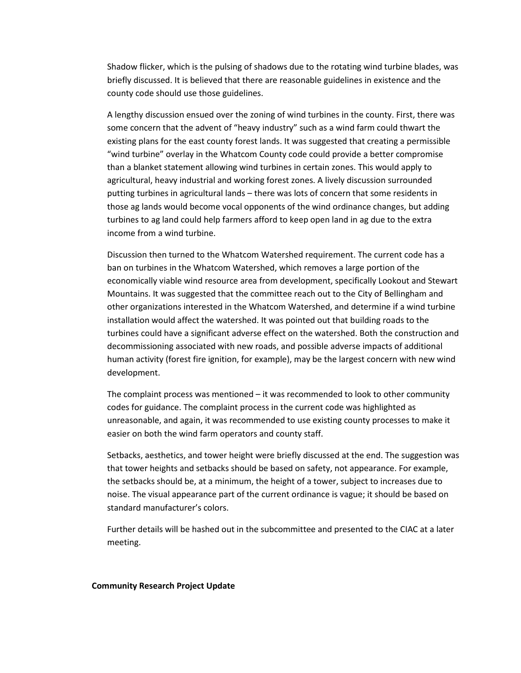Shadow flicker, which is the pulsing of shadows due to the rotating wind turbine blades, was briefly discussed. It is believed that there are reasonable guidelines in existence and the county code should use those guidelines.

A lengthy discussion ensued over the zoning of wind turbines in the county. First, there was some concern that the advent of "heavy industry" such as a wind farm could thwart the existing plans for the east county forest lands. It was suggested that creating a permissible "wind turbine" overlay in the Whatcom County code could provide a better compromise than a blanket statement allowing wind turbines in certain zones. This would apply to agricultural, heavy industrial and working forest zones. A lively discussion surrounded putting turbines in agricultural lands – there was lots of concern that some residents in those ag lands would become vocal opponents of the wind ordinance changes, but adding turbines to ag land could help farmers afford to keep open land in ag due to the extra income from a wind turbine.

Discussion then turned to the Whatcom Watershed requirement. The current code has a ban on turbines in the Whatcom Watershed, which removes a large portion of the economically viable wind resource area from development, specifically Lookout and Stewart Mountains. It was suggested that the committee reach out to the City of Bellingham and other organizations interested in the Whatcom Watershed, and determine if a wind turbine installation would affect the watershed. It was pointed out that building roads to the turbines could have a significant adverse effect on the watershed. Both the construction and decommissioning associated with new roads, and possible adverse impacts of additional human activity (forest fire ignition, for example), may be the largest concern with new wind development.

The complaint process was mentioned – it was recommended to look to other community codes for guidance. The complaint process in the current code was highlighted as unreasonable, and again, it was recommended to use existing county processes to make it easier on both the wind farm operators and county staff.

Setbacks, aesthetics, and tower height were briefly discussed at the end. The suggestion was that tower heights and setbacks should be based on safety, not appearance. For example, the setbacks should be, at a minimum, the height of a tower, subject to increases due to noise. The visual appearance part of the current ordinance is vague; it should be based on standard manufacturer's colors.

Further details will be hashed out in the subcommittee and presented to the CIAC at a later meeting.

#### **Community Research Project Update**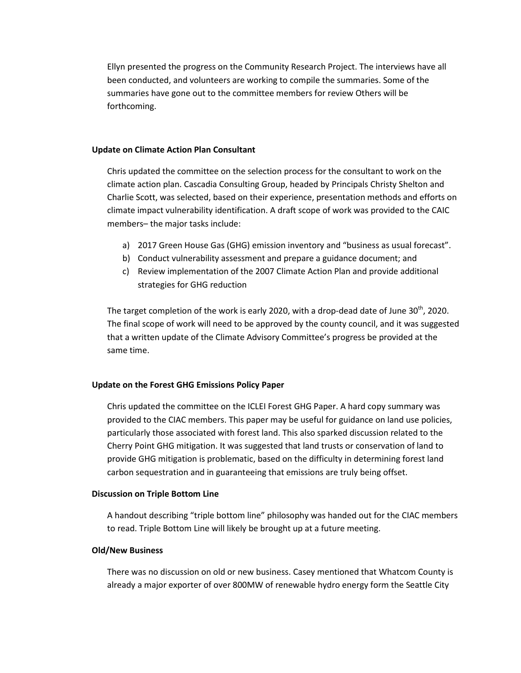Ellyn presented the progress on the Community Research Project. The interviews have all been conducted, and volunteers are working to compile the summaries. Some of the summaries have gone out to the committee members for review Others will be forthcoming.

### **Update on Climate Action Plan Consultant**

Chris updated the committee on the selection process for the consultant to work on the climate action plan. Cascadia Consulting Group, headed by Principals Christy Shelton and Charlie Scott, was selected, based on their experience, presentation methods and efforts on climate impact vulnerability identification. A draft scope of work was provided to the CAIC members– the major tasks include:

- a) 2017 Green House Gas (GHG) emission inventory and "business as usual forecast".
- b) Conduct vulnerability assessment and prepare a guidance document; and
- c) Review implementation of the 2007 Climate Action Plan and provide additional strategies for GHG reduction

The target completion of the work is early 2020, with a drop-dead date of June 30<sup>th</sup>, 2020. The final scope of work will need to be approved by the county council, and it was suggested that a written update of the Climate Advisory Committee's progress be provided at the same time.

# **Update on the Forest GHG Emissions Policy Paper**

Chris updated the committee on the ICLEI Forest GHG Paper. A hard copy summary was provided to the CIAC members. This paper may be useful for guidance on land use policies, particularly those associated with forest land. This also sparked discussion related to the Cherry Point GHG mitigation. It was suggested that land trusts or conservation of land to provide GHG mitigation is problematic, based on the difficulty in determining forest land carbon sequestration and in guaranteeing that emissions are truly being offset.

# **Discussion on Triple Bottom Line**

A handout describing "triple bottom line" philosophy was handed out for the CIAC members to read. Triple Bottom Line will likely be brought up at a future meeting.

### **Old/New Business**

There was no discussion on old or new business. Casey mentioned that Whatcom County is already a major exporter of over 800MW of renewable hydro energy form the Seattle City